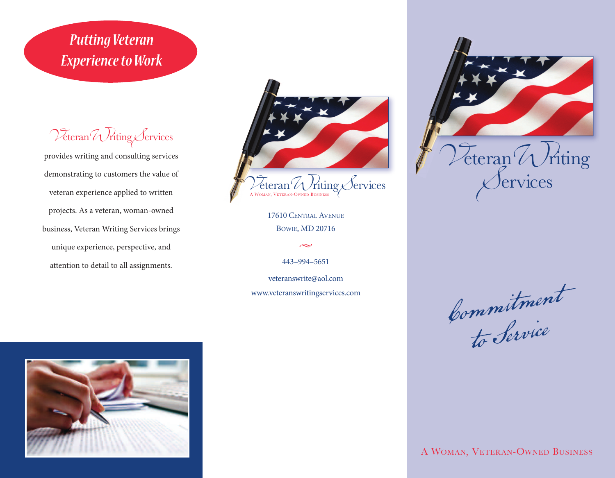## *Putting Veteran* **Experience to Work**

Veteran Writing Services

provides writing and consulting services demonstrating to customers the value of veteran experience applied to written projects. As a veteran, woman-owned business, Veteran Writing Services brings unique experience, perspective, and attention to detail to all assignments.



17610 CentrAl AVenue BoWie, MD 20716

 $\sim$ 

443–994–5651

veteranswrite@aol.com www.veteranswritingservices.com



Commitment to Service